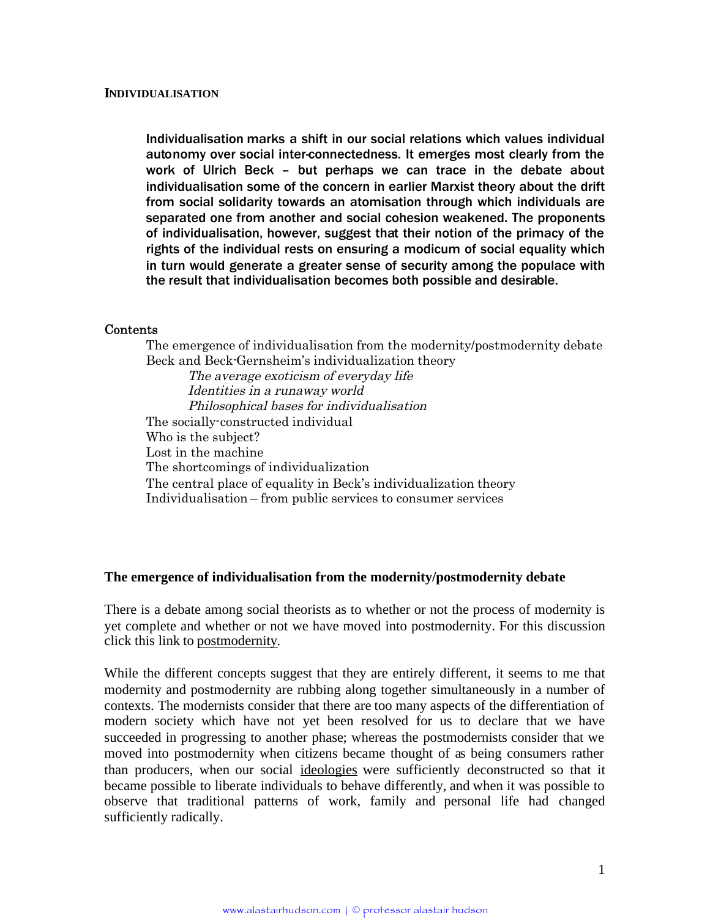Individualisation marks a shift in our social relations which values individual autonomy over social inter-connectedness. It emerges most clearly from the work of Ulrich Beck – but perhaps we can trace in the debate about individualisation some of the concern in earlier Marxist theory about the drift from social solidarity towards an atomisation through which individuals are separated one from another and social cohesion weakened. The proponents of individualisation, however, suggest that their notion of the primacy of the rights of the individual rests on ensuring a modicum of social equality which in turn would generate a greater sense of security among the populace with the result that individualisation becomes both possible and desirable.

#### Contents

The emergence of individualisation from the modernity/postmodernity debate Beck and Beck-Gernsheim's individualization theory The average exoticism of everyday life Identities in <sup>a</sup> runaway world Philosophical bases for individualisation The socially-constructed individual Who is the subject? Lost in the machine The shortcomings of individualization The central place of equality in Beck's individualization theory Individualisation – from public services to consumer services

#### **The emergence of individualisation from the modernity/postmodernity debate**

There is a debate among social theorists as to whether or not the process of modernity is yet complete and whether or not we have moved into postmodernity. For this discussion click this link to postmodernity.

While the different concepts suggest that they are entirely different, it seems to me that modernity and postmodernity are rubbing along together simultaneously in a number of contexts. The modernists consider that there are too many aspects of the differentiation of modern society which have not yet been resolved for us to declare that we have succeeded in progressing to another phase; whereas the postmodernists consider that we moved into postmodernity when citizens became thought of as being consumers rather than producers, when our social ideologies were sufficiently deconstructed so that it became possible to liberate individuals to behave differently, and when it was possible to observe that traditional patterns of work, family and personal life had changed sufficiently radically.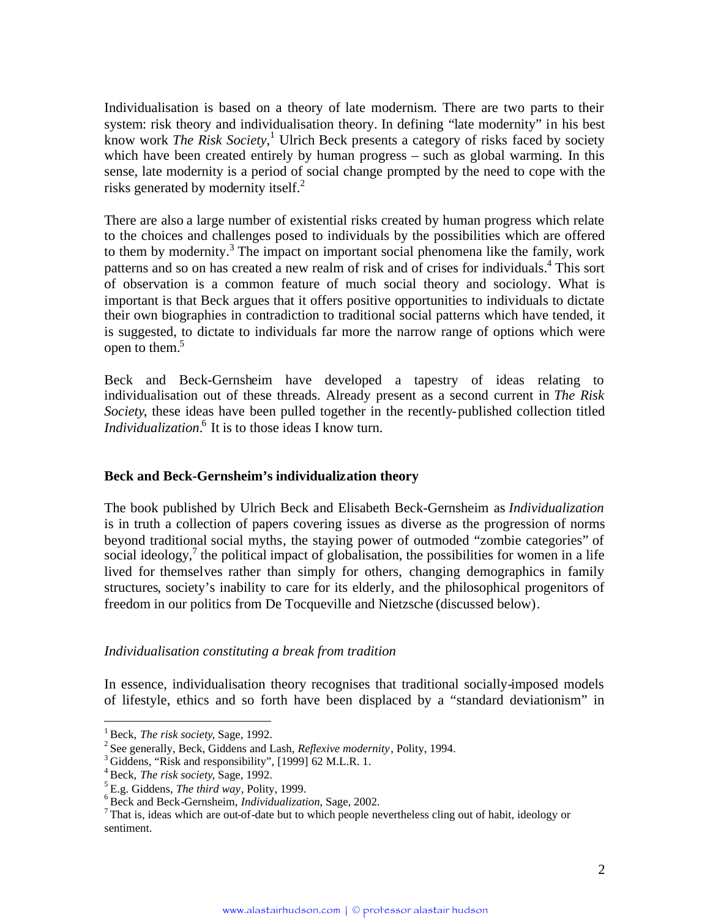Individualisation is based on a theory of late modernism. There are two parts to their system: risk theory and individualisation theory. In defining "late modernity" in his best know work *The Risk Society*, [1](#page-1-0) Ulrich Beck presents a category of risks faced by society which have been created entirely by human progress – such as global warming. In this sense, late modernity is a period of social change prompted by the need to cope with the risksgenerated by modernity itself. $^{2}$ 

There are also a large number of existential risks created by human progress which relate to the choices and challenges posed to individuals by the possibilities which are offered to them by modernity.<sup>[3](#page-1-2)</sup> The impact on important social phenomena like the family, work patterns and so on has created a new realm of risk and of crises for individuals.<sup>[4](#page-1-3)</sup> This sort of observation is a common feature of much social theory and sociology. What is important is that Beck argues that it offers positive opportunities to individuals to dictate their own biographies in contradiction to traditional social patterns which have tended, it is suggested, to dictate to individuals far more the narrow range of options which were opento them. $5$ 

Beck and Beck-Gernsheim have developed a tapestry of ideas relating to individualisation out of these threads. Already present as a second current in *The Risk Society*, these ideas have been pulled together in the recently-published collection titled *Individualization*.<sup>[6](#page-1-5)</sup> It is to those ideas I know turn.

# **Beck and Beck-Gernsheim's individualization theory**

The book published by Ulrich Beck and Elisabeth Beck-Gernsheim as *Individualization* is in truth a collection of papers covering issues as diverse as the progression of norms beyond traditional social myths, the staying power of outmoded "zombie categories" of social ideology,<sup>[7](#page-1-6)</sup> the political impact of globalisation, the possibilities for women in a life lived for themselves rather than simply for others, changing demographics in family structures, society's inability to care for its elderly, and the philosophical progenitors of freedom in our politics from De Tocqueville and Nietzsche (discussed below).

#### *Individualisation constituting a break from tradition*

In essence, individualisation theory recognises that traditional socially-imposed models of lifestyle, ethics and so forth have been displaced by a "standard deviationism" in

<span id="page-1-0"></span><sup>1</sup> Beck, *The risk society*, Sage, 1992.

<span id="page-1-2"></span><span id="page-1-1"></span><sup>2</sup> See generally, Beck, Giddens and Lash, *Reflexive modernity*, Polity, 1994.

<span id="page-1-3"></span><sup>&</sup>lt;sup>3</sup> Giddens, "Risk and responsibility", [1999] 62 M.L.R. 1.

<span id="page-1-4"></span><sup>4</sup> Beck, *The risk society*, Sage, 1992.

<span id="page-1-5"></span><sup>5</sup> E.g. Giddens, *The third way*, Polity, 1999.

<span id="page-1-6"></span><sup>6</sup> Beck and Beck-Gernsheim, *Individualization*, Sage, 2002.

<sup>7</sup> That is, ideas which are out-of-date but to which people nevertheless cling out of habit, ideology or sentiment.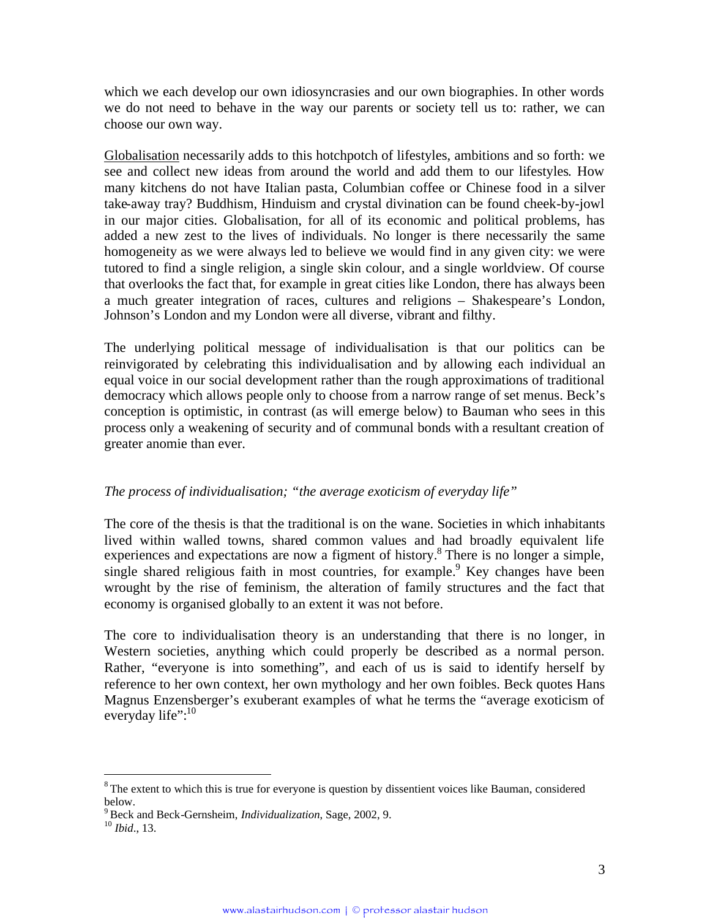which we each develop our own idiosyncrasies and our own biographies. In other words we do not need to behave in the way our parents or society tell us to: rather, we can choose our own way.

Globalisation necessarily adds to this hotchpotch of lifestyles, ambitions and so forth: we see and collect new ideas from around the world and add them to our lifestyles. How many kitchens do not have Italian pasta, Columbian coffee or Chinese food in a silver take-away tray? Buddhism, Hinduism and crystal divination can be found cheek-by-jowl in our major cities. Globalisation, for all of its economic and political problems, has added a new zest to the lives of individuals. No longer is there necessarily the same homogeneity as we were always led to believe we would find in any given city: we were tutored to find a single religion, a single skin colour, and a single worldview. Of course that overlooks the fact that, for example in great cities like London, there has always been a much greater integration of races, cultures and religions – Shakespeare's London, Johnson's London and my London were all diverse, vibrant and filthy.

The underlying political message of individualisation is that our politics can be reinvigorated by celebrating this individualisation and by allowing each individual an equal voice in our social development rather than the rough approximations of traditional democracy which allows people only to choose from a narrow range of set menus. Beck's conception is optimistic, in contrast (as will emerge below) to Bauman who sees in this process only a weakening of security and of communal bonds with a resultant creation of greater anomie than ever.

# *The process of individualisation; "the average exoticism of everyday life"*

The core of the thesis is that the traditional is on the wane. Societies in which inhabitants lived within walled towns, shared common values and had broadly equivalent life experiences and expectations are now a figment of history.<sup>[8](#page-2-0)</sup> There is no longer a simple, single shared religious faith in most countries, for example.<sup>[9](#page-2-1)</sup> Key changes have been wrought by the rise of feminism, the alteration of family structures and the fact that economy is organised globally to an extent it was not before.

The core to individualisation theory is an understanding that there is no longer, in Western societies, anything which could properly be described as a normal person. Rather, "everyone is into something", and each of us is said to identify herself by reference to her own context, her own mythology and her own foibles. Beck quotes Hans Magnus Enzensberger's exuberant examples of what he terms the "average exoticism of everydaylife":<sup>10</sup>

<span id="page-2-0"></span> $8$ The extent to which this is true for everyone is question by dissentient voices like Bauman, considered below.

<span id="page-2-2"></span><span id="page-2-1"></span><sup>9</sup> Beck and Beck-Gernsheim, *Individualization*, Sage, 2002, 9.

<sup>10</sup> *Ibid*., 13.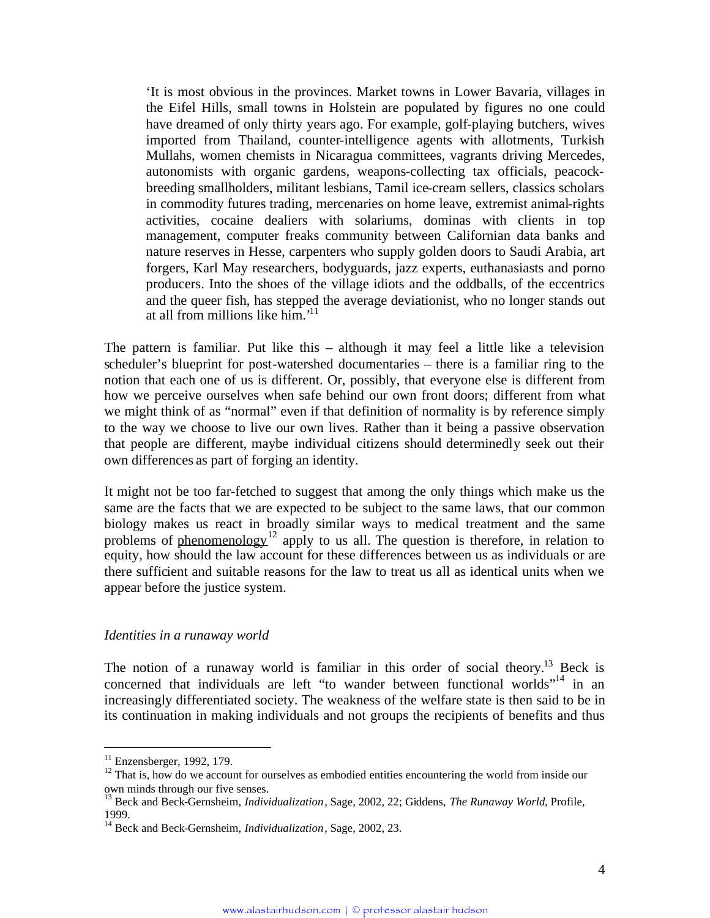'It is most obvious in the provinces. Market towns in Lower Bavaria, villages in the Eifel Hills, small towns in Holstein are populated by figures no one could have dreamed of only thirty years ago. For example, golf-playing butchers, wives imported from Thailand, counter-intelligence agents with allotments, Turkish Mullahs, women chemists in Nicaragua committees, vagrants driving Mercedes, autonomists with organic gardens, weapons-collecting tax officials, peacockbreeding smallholders, militant lesbians, Tamil ice-cream sellers, classics scholars in commodity futures trading, mercenaries on home leave, extremist animal-rights activities, cocaine dealiers with solariums, dominas with clients in top management, computer freaks community between Californian data banks and nature reserves in Hesse, carpenters who supply golden doors to Saudi Arabia, art forgers, Karl May researchers, bodyguards, jazz experts, euthanasiasts and porno producers. Into the shoes of the village idiots and the oddballs, of the eccentrics and the queer fish, has stepped the average deviationist, who no longer stands out at all from millions likehim.['](#page-3-0)<sup>11</sup>

The pattern is familiar. Put like this – although it may feel a little like a television scheduler's blueprint for post-watershed documentaries – there is a familiar ring to the notion that each one of us is different. Or, possibly, that everyone else is different from how we perceive ourselves when safe behind our own front doors; different from what we might think of as "normal" even if that definition of normality is by reference simply to the way we choose to live our own lives. Rather than it being a passive observation that people are different, maybe individual citizens should determinedly seek out their own differences as part of forging an identity.

It might not be too far-fetched to suggest that among the only things which make us the same are the facts that we are expected to be subject to the same laws, that our common biology makes us react in broadly similar ways to medical treatment and the same problems of phenomenology<sup>[12](#page-3-1)</sup> apply to us all. The question is therefore, in relation to equity, how should the law account for these differences between us as individuals or are there sufficient and suitable reasons for the law to treat us all as identical units when we appear before the justice system.

#### *Identities in a runaway world*

The notion of a runaway world is familiar in this order of social theory.<sup>[13](#page-3-2)</sup> Beck is concerned that individuals are left "to wander between functional worlds"<sup>[14](#page-3-3)</sup> in an increasingly differentiated society. The weakness of the welfare state is then said to be in its continuation in making individuals and not groups the recipients of benefits and thus

<span id="page-3-1"></span><span id="page-3-0"></span> $11$  Enzensberger, 1992, 179.

<sup>&</sup>lt;sup>12</sup> That is, how do we account for ourselves as embodied entities encountering the world from inside our own minds through our five senses.

<span id="page-3-2"></span><sup>13</sup> Beck and Beck-Gernsheim, *Individualization*, Sage, 2002, 22; Giddens, *The Runaway World*, Profile, 1999.

<span id="page-3-3"></span><sup>14</sup> Beck and Beck-Gernsheim, *Individualization*, Sage, 2002, 23.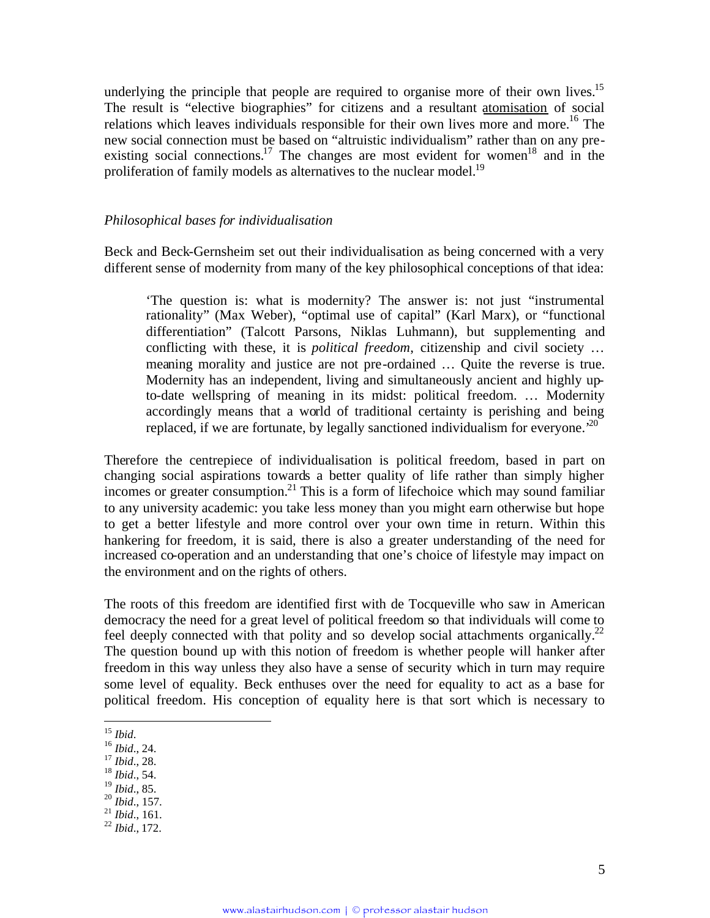underlyingthe principle that people are required to organise more of their own lives[.](#page-4-0)<sup>15</sup> The result is "elective biographies" for citizens and a resultant atomisation of social relations which leaves individuals responsible for their own lives more and more.<sup>[16](#page-4-1)</sup> The new social connection must be based on "altruistic individualism" rather than on any pre-existing social connections.<sup>[17](#page-4-2)</sup> The changes are most evident for women<sup>[18](#page-4-3)</sup> and in the proliferation of family models as alternatives to the nuclear model.<sup>[19](#page-4-4)</sup>

#### *Philosophical bases for individualisation*

Beck and Beck-Gernsheim set out their individualisation as being concerned with a very different sense of modernity from many of the key philosophical conceptions of that idea:

'The question is: what is modernity? The answer is: not just "instrumental rationality" (Max Weber), "optimal use of capital" (Karl Marx), or "functional differentiation" (Talcott Parsons, Niklas Luhmann), but supplementing and conflicting with these, it is *political freedom*, citizenship and civil society … meaning morality and justice are not pre-ordained … Quite the reverse is true. Modernity has an independent, living and simultaneously ancient and highly upto-date wellspring of meaning in its midst: political freedom. … Modernity accordingly means that a world of traditional certainty is perishing and being replaced, if we are fortunate, by legally sanctioned individualism for everyone.<sup>[20](#page-4-5)</sup>

Therefore the centrepiece of individualisation is political freedom, based in part on changing social aspirations towards a better quality of life rather than simply higher incomes or greater consumption.<sup>[21](#page-4-6)</sup> This is a form of lifechoice which may sound familiar to any university academic: you take less money than you might earn otherwise but hope to get a better lifestyle and more control over your own time in return. Within this hankering for freedom, it is said, there is also a greater understanding of the need for increased co-operation and an understanding that one's choice of lifestyle may impact on the environment and on the rights of others.

The roots of this freedom are identified first with de Tocqueville who saw in American democracy the need for a great level of political freedom so that individuals will come to feel deeply connected with that polity and so develop social attachments organically.<sup>[22](#page-4-7)</sup> The question bound up with this notion of freedom is whether people will hanker after freedom in this way unless they also have a sense of security which in turn may require some level of equality. Beck enthuses over the need for equality to act as a base for political freedom. His conception of equality here is that sort which is necessary to

- <span id="page-4-3"></span><span id="page-4-2"></span><sup>17</sup> *Ibid*., 28.
- <sup>18</sup> *Ibid*., 54.

- <span id="page-4-6"></span><sup>20</sup> *Ibid*., 157. <sup>21</sup> *Ibid*., 161.
- <span id="page-4-7"></span><sup>22</sup> *Ibid*., 172.

<span id="page-4-0"></span><sup>15</sup> *Ibid*.

<span id="page-4-1"></span><sup>16</sup> *Ibid*., 24.

<span id="page-4-5"></span><span id="page-4-4"></span><sup>19</sup> *Ibid*., 85.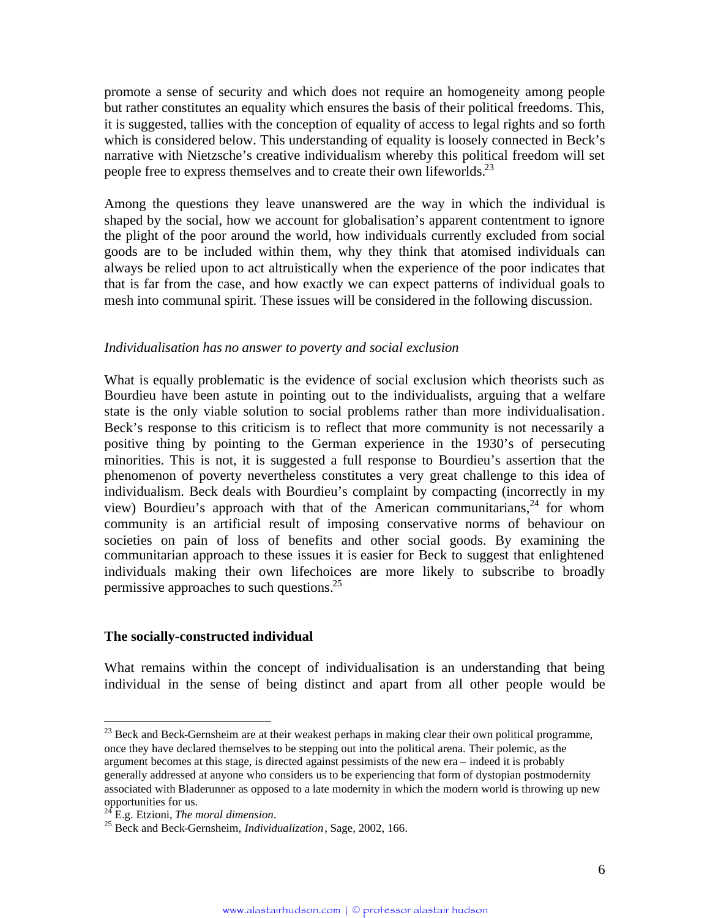promote a sense of security and which does not require an homogeneity among people but rather constitutes an equality which ensures the basis of their political freedoms. This, it is suggested, tallies with the conception of equality of access to legal rights and so forth which is considered below. This understanding of equality is loosely connected in Beck's narrative with Nietzsche's creative individualism whereby this political freedom will set people free to express themselves and to create their own lifeworlds.<sup>[23](#page-5-0)</sup>

Among the questions they leave unanswered are the way in which the individual is shaped by the social, how we account for globalisation's apparent contentment to ignore the plight of the poor around the world, how individuals currently excluded from social goods are to be included within them, why they think that atomised individuals can always be relied upon to act altruistically when the experience of the poor indicates that that is far from the case, and how exactly we can expect patterns of individual goals to mesh into communal spirit. These issues will be considered in the following discussion.

#### *Individualisation has no answer to poverty and social exclusion*

What is equally problematic is the evidence of social exclusion which theorists such as Bourdieu have been astute in pointing out to the individualists, arguing that a welfare state is the only viable solution to social problems rather than more individualisation. Beck's response to this criticism is to reflect that more community is not necessarily a positive thing by pointing to the German experience in the 1930's of persecuting minorities. This is not, it is suggested a full response to Bourdieu's assertion that the phenomenon of poverty nevertheless constitutes a very great challenge to this idea of individualism. Beck deals with Bourdieu's complaint by compacting (incorrectly in my view) Bourdieu's approach with that of the American communitarians,  $24$  for whom community is an artificial result of imposing conservative norms of behaviour on societies on pain of loss of benefits and other social goods. By examining the communitarian approach to these issues it is easier for Beck to suggest that enlightened individuals making their own lifechoices are more likely to subscribe to broadly permissive approaches to such questions.<sup>[25](#page-5-2)</sup>

### **The socially-constructed individual**

What remains within the concept of individualisation is an understanding that being individual in the sense of being distinct and apart from all other people would be

<span id="page-5-0"></span> $^{23}$  Beck and Beck-Gernsheim are at their weakest perhaps in making clear their own political programme, once they have declared themselves to be stepping out into the political arena. Their polemic, as the argument becomes at this stage, is directed against pessimists of the new era – indeed it is probably generally addressed at anyone who considers us to be experiencing that form of dystopian postmodernity associated with Bladerunner as opposed to a late modernity in which the modern world is throwing up new opportunities for us.

<span id="page-5-2"></span><span id="page-5-1"></span><sup>24</sup> E.g. Etzioni, *The moral dimension*.

<sup>25</sup> Beck and Beck-Gernsheim, *Individualization*, Sage, 2002, 166.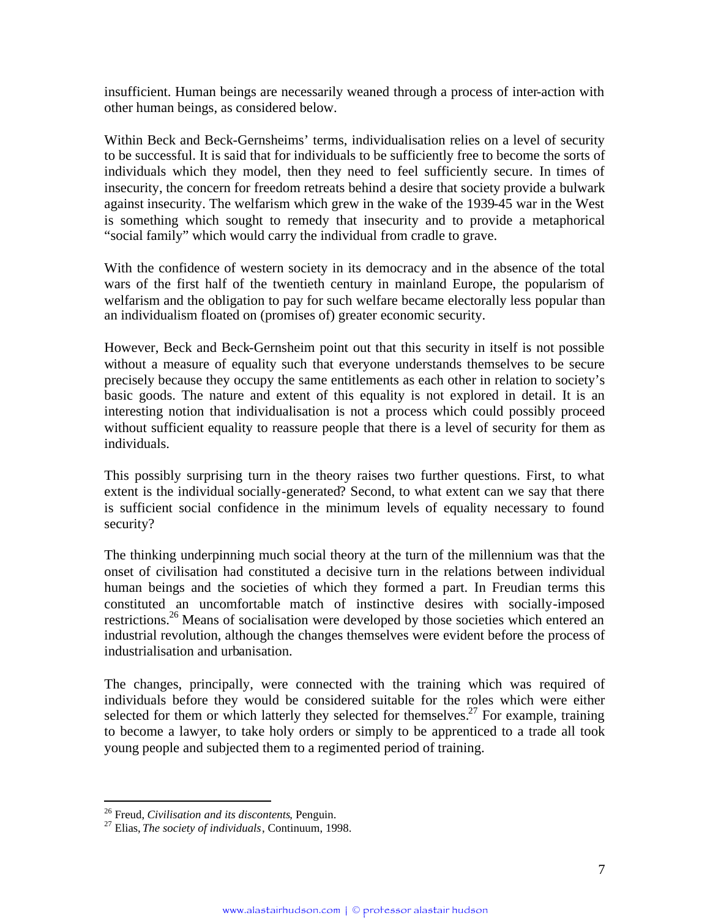insufficient. Human beings are necessarily weaned through a process of inter-action with other human beings, as considered below.

Within Beck and Beck-Gernsheims' terms, individualisation relies on a level of security to be successful. It is said that for individuals to be sufficiently free to become the sorts of individuals which they model, then they need to feel sufficiently secure. In times of insecurity, the concern for freedom retreats behind a desire that society provide a bulwark against insecurity. The welfarism which grew in the wake of the 1939-45 war in the West is something which sought to remedy that insecurity and to provide a metaphorical "social family" which would carry the individual from cradle to grave.

With the confidence of western society in its democracy and in the absence of the total wars of the first half of the twentieth century in mainland Europe, the popularism of welfarism and the obligation to pay for such welfare became electorally less popular than an individualism floated on (promises of) greater economic security.

However, Beck and Beck-Gernsheim point out that this security in itself is not possible without a measure of equality such that everyone understands themselves to be secure precisely because they occupy the same entitlements as each other in relation to society's basic goods. The nature and extent of this equality is not explored in detail. It is an interesting notion that individualisation is not a process which could possibly proceed without sufficient equality to reassure people that there is a level of security for them as individuals.

This possibly surprising turn in the theory raises two further questions. First, to what extent is the individual socially-generated? Second, to what extent can we say that there is sufficient social confidence in the minimum levels of equality necessary to found security?

The thinking underpinning much social theory at the turn of the millennium was that the onset of civilisation had constituted a decisive turn in the relations between individual human beings and the societies of which they formed a part. In Freudian terms this constituted an uncomfortable match of instinctive desires with socially-imposed restrictions.[26](#page-6-0) Means of socialisation were developed by those societies which entered an industrial revolution, although the changes themselves were evident before the process of industrialisation and urbanisation.

The changes, principally, were connected with the training which was required of individuals before they would be considered suitable for the roles which were either selected for them or which latterly they selected for themselves.<sup>[27](#page-6-1)</sup> For example, training to become a lawyer, to take holy orders or simply to be apprenticed to a trade all took young people and subjected them to a regimented period of training.

<span id="page-6-0"></span><sup>26</sup> Freud, *Civilisation and its discontents*, Penguin.

<span id="page-6-1"></span><sup>27</sup> Elias, *The society of individuals*, Continuum, 1998.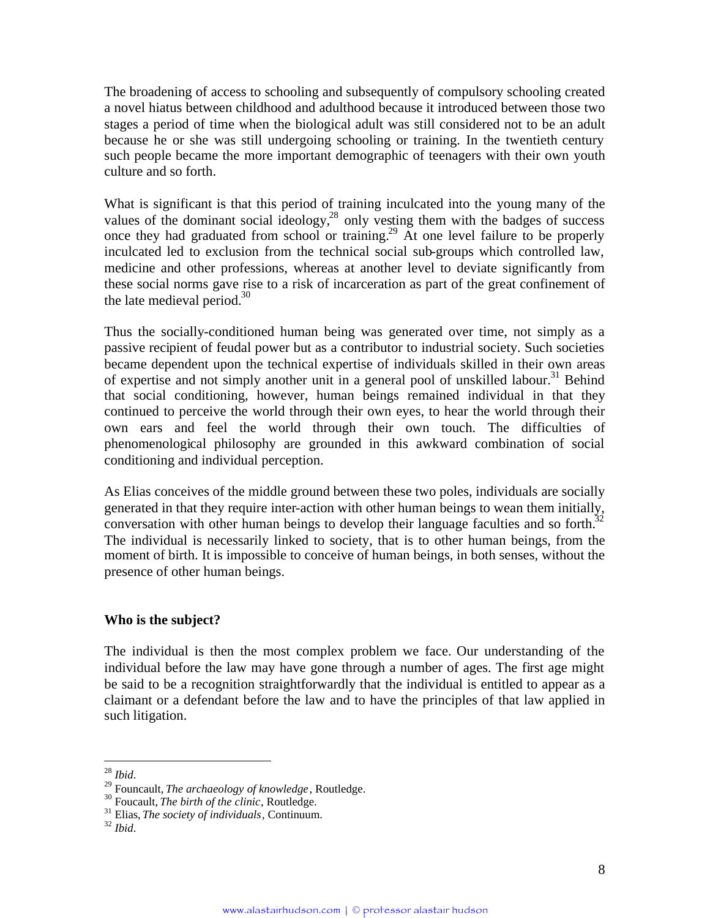The broadening of access to schooling and subsequently of compulsory schooling created a novel hiatus between childhood and adulthood because it introduced between those two stages a period of time when the biological adult was still considered not to be an adult because he or she was still undergoing schooling or training. In the twentieth century such people became the more important demographic of teenagers with their own youth culture and so forth.

What is significant is that this period of training inculcated into the young many of the values of the dominant social ideology, $^{28}$  $^{28}$  $^{28}$  only vesting them with the badges of success once they had graduated from school or training.<sup>[29](#page-7-1)</sup> At one level failure to be properly inculcated led to exclusion from the technical social sub-groups which controlled law, medicine and other professions, whereas at another level to deviate significantly from these social norms gave rise to a risk of incarceration as part of the great confinement of the late medieval period. $30<sup>30</sup>$  $30<sup>30</sup>$ 

Thus the socially-conditioned human being was generated over time, not simply as a passive recipient of feudal power but as a contributor to industrial society. Such societies became dependent upon the technical expertise of individuals skilled in their own areas of expertise and not simply another unit in a general pool of unskilled labour.<sup>[31](#page-7-3)</sup> Behind that social conditioning, however, human beings remained individual in that they continued to perceive the world through their own eyes, to hear the world through their own ears and feel the world through their own touch. The difficulties of phenomenological philosophy are grounded in this awkward combination of social conditioning and individual perception.

As Elias conceives of the middle ground between these two poles, individuals are socially generated in that they require inter-action with other human beings to wean them initially, conversation with other human beings to develop their language faculties and so forth.<sup>[32](#page-7-4)</sup> The individual is necessarily linked to society, that is to other human beings, from the moment of birth. It is impossible to conceive of human beings, in both senses, without the presence of other human beings.

# **Who is the subject?**

The individual is then the most complex problem we face. Our understanding of the individual before the law may have gone through a number of ages. The first age might be said to be a recognition straightforwardly that the individual is entitled to appear as a claimant or a defendant before the law and to have the principles of that law applied in such litigation.

<span id="page-7-0"></span><sup>28</sup> *Ibid*.

<span id="page-7-1"></span><sup>29</sup> Founcault, *The archaeology of knowledge*, Routledge.

<span id="page-7-3"></span><span id="page-7-2"></span><sup>30</sup> Foucault, *The birth of the clinic*, Routledge.

<span id="page-7-4"></span><sup>31</sup> Elias, *The society of individuals*, Continuum.

<sup>32</sup> *Ibid*.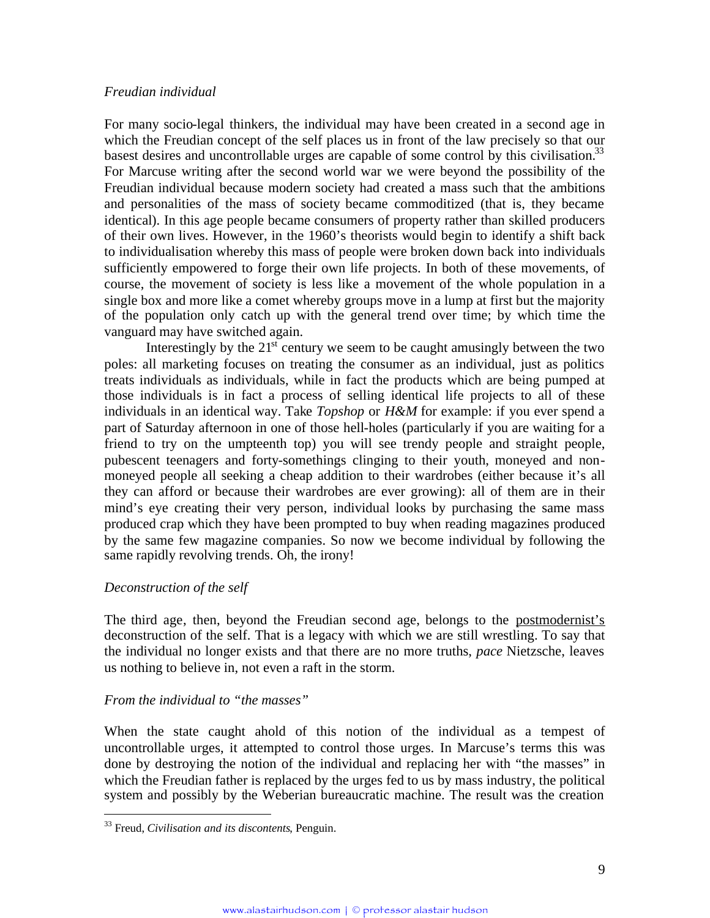### *Freudian individual*

For many socio-legal thinkers, the individual may have been created in a second age in which the Freudian concept of the self places us in front of the law precisely so that our basest desires and uncontrollable urges are capable of some control by this civilisation.<sup>[33](#page-8-0)</sup> For Marcuse writing after the second world war we were beyond the possibility of the Freudian individual because modern society had created a mass such that the ambitions and personalities of the mass of society became commoditized (that is, they became identical). In this age people became consumers of property rather than skilled producers of their own lives. However, in the 1960's theorists would begin to identify a shift back to individualisation whereby this mass of people were broken down back into individuals sufficiently empowered to forge their own life projects. In both of these movements, of course, the movement of society is less like a movement of the whole population in a single box and more like a comet whereby groups move in a lump at first but the majority of the population only catch up with the general trend over time; by which time the vanguard may have switched again.

Interestingly by the  $21<sup>st</sup>$  century we seem to be caught amusingly between the two poles: all marketing focuses on treating the consumer as an individual, just as politics treats individuals as individuals, while in fact the products which are being pumped at those individuals is in fact a process of selling identical life projects to all of these individuals in an identical way. Take *Topshop* or *H&M* for example: if you ever spend a part of Saturday afternoon in one of those hell-holes (particularly if you are waiting for a friend to try on the umpteenth top) you will see trendy people and straight people, pubescent teenagers and forty-somethings clinging to their youth, moneyed and nonmoneyed people all seeking a cheap addition to their wardrobes (either because it's all they can afford or because their wardrobes are ever growing): all of them are in their mind's eye creating their very person, individual looks by purchasing the same mass produced crap which they have been prompted to buy when reading magazines produced by the same few magazine companies. So now we become individual by following the same rapidly revolving trends. Oh, the irony!

# *Deconstruction of the self*

The third age, then, beyond the Freudian second age, belongs to the postmodernist's deconstruction of the self. That is a legacy with which we are still wrestling. To say that the individual no longer exists and that there are no more truths, *pace* Nietzsche, leaves us nothing to believe in, not even a raft in the storm.

# *From the individual to "the masses"*

When the state caught ahold of this notion of the individual as a tempest of uncontrollable urges, it attempted to control those urges. In Marcuse's terms this was done by destroying the notion of the individual and replacing her with "the masses" in which the Freudian father is replaced by the urges fed to us by mass industry, the political system and possibly by the Weberian bureaucratic machine. The result was the creation

<span id="page-8-0"></span><sup>33</sup> Freud, *Civilisation and its discontents*, Penguin.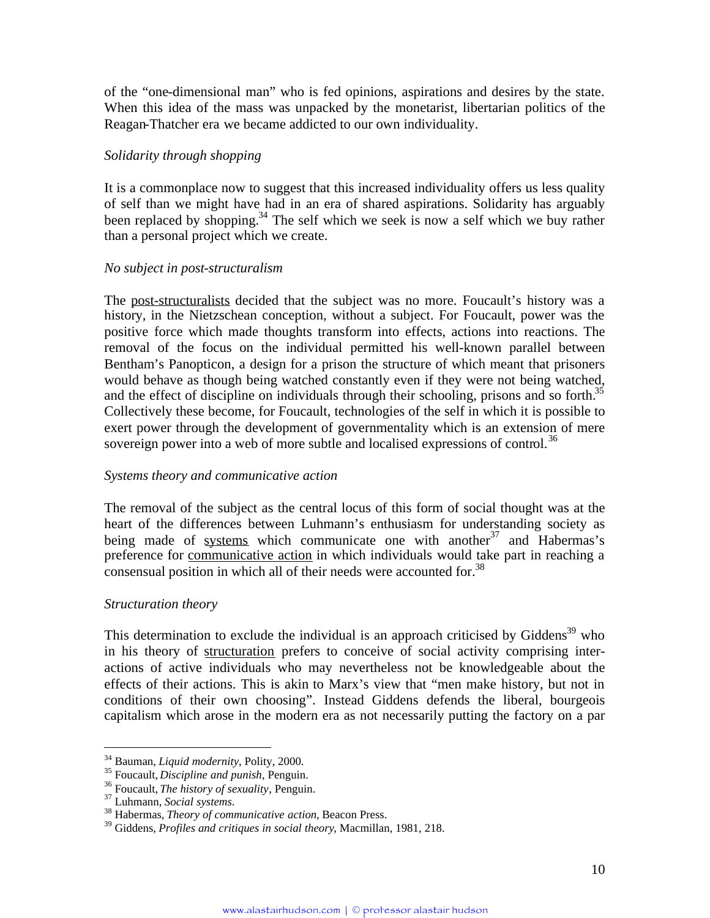of the "one-dimensional man" who is fed opinions, aspirations and desires by the state. When this idea of the mass was unpacked by the monetarist, libertarian politics of the Reagan-Thatcher era we became addicted to our own individuality.

# *Solidarity through shopping*

It is a commonplace now to suggest that this increased individuality offers us less quality of self than we might have had in an era of shared aspirations. Solidarity has arguably been replaced by shopping.<sup>[34](#page-9-0)</sup> The self which we seek is now a self which we buy rather than a personal project which we create.

### *No subject in post-structuralism*

The post-structuralists decided that the subject was no more. Foucault's history was a history, in the Nietzschean conception, without a subject. For Foucault, power was the positive force which made thoughts transform into effects, actions into reactions. The removal of the focus on the individual permitted his well-known parallel between Bentham's Panopticon, a design for a prison the structure of which meant that prisoners would behave as though being watched constantly even if they were not being watched, andthe effect of discipline on individuals through their schooling, prisons and so forth[.](#page-9-1)<sup>35</sup> Collectively these become, for Foucault, technologies of the self in which it is possible to exert power through the development of governmentality which is an extension of mere sovereign power into a web of more subtle and localised expressions of control.<sup>[36](#page-9-2)</sup>

# *Systems theory and communicative action*

The removal of the subject as the central locus of this form of social thought was at the heart of the differences between Luhmann's enthusiasm for understanding society as being made of systems which communicate one with another<sup>[37](#page-9-3)</sup> and Habermas's preference for communicative action in which individuals would take part in reaching a consensualposition in which all of their needs were accounted for[.](#page-9-4)<sup>38</sup>

# *Structuration theory*

This determination to exclude the individual is an approach criticised by Giddens<sup>[39](#page-9-5)</sup> who in his theory of structuration prefers to conceive of social activity comprising interactions of active individuals who may nevertheless not be knowledgeable about the effects of their actions. This is akin to Marx's view that "men make history, but not in conditions of their own choosing". Instead Giddens defends the liberal, bourgeois capitalism which arose in the modern era as not necessarily putting the factory on a par

<span id="page-9-0"></span><sup>34</sup> Bauman, *Liquid modernity*, Polity, 2000.

<span id="page-9-1"></span><sup>35</sup> Foucault, *Discipline and punish*, Penguin.

<span id="page-9-2"></span><sup>36</sup> Foucault, *The history of sexuality*, Penguin.

<span id="page-9-3"></span><sup>37</sup> Luhmann, *Social systems*.

<span id="page-9-4"></span><sup>38</sup> Habermas, *Theory of communicative action*, Beacon Press.

<span id="page-9-5"></span><sup>39</sup> Giddens, *Profiles and critiques in social theory*, Macmillan, 1981, 218.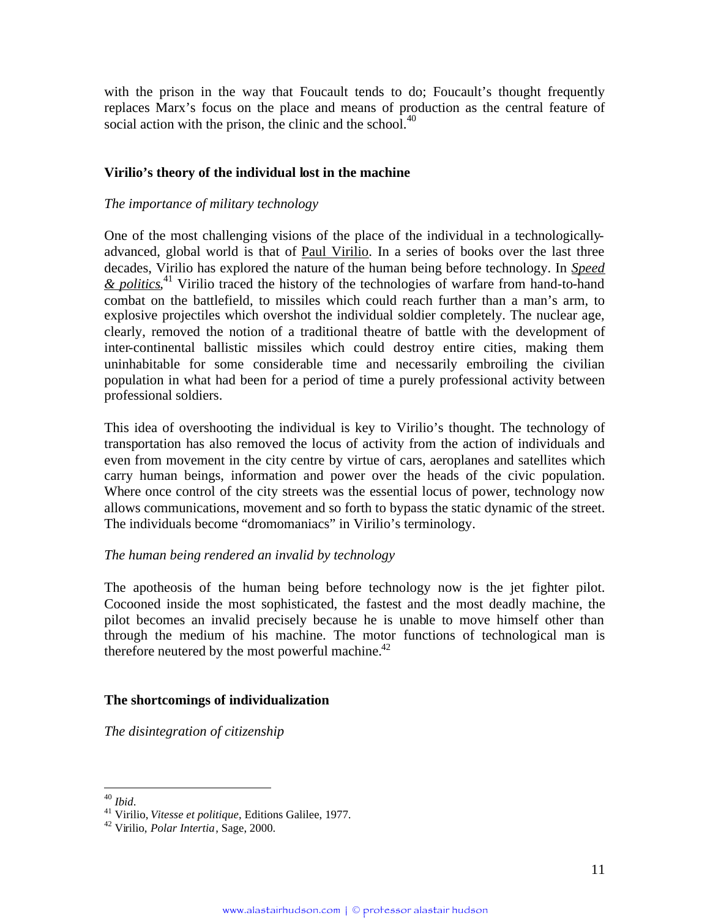with the prison in the way that Foucault tends to do; Foucault's thought frequently replaces Marx's focus on the place and means of production as the central feature of social action with the prison, the clinic and the school.<sup>[40](#page-10-0)</sup>

# **Virilio's theory of the individual lost in the machine**

### *The importance of military technology*

One of the most challenging visions of the place of the individual in a technologicallyadvanced, global world is that of Paul Virilio. In a series of books over the last three decades, Virilio has explored the nature of the human being before technology. In *Speed* & *politics*,<sup>[41](#page-10-1)</sup> Virilio traced the history of the technologies of warfare from hand-to-hand combat on the battlefield, to missiles which could reach further than a man's arm, to explosive projectiles which overshot the individual soldier completely. The nuclear age, clearly, removed the notion of a traditional theatre of battle with the development of inter-continental ballistic missiles which could destroy entire cities, making them uninhabitable for some considerable time and necessarily embroiling the civilian population in what had been for a period of time a purely professional activity between professional soldiers.

This idea of overshooting the individual is key to Virilio's thought. The technology of transportation has also removed the locus of activity from the action of individuals and even from movement in the city centre by virtue of cars, aeroplanes and satellites which carry human beings, information and power over the heads of the civic population. Where once control of the city streets was the essential locus of power, technology now allows communications, movement and so forth to bypass the static dynamic of the street. The individuals become "dromomaniacs" in Virilio's terminology.

# *The human being rendered an invalid by technology*

The apotheosis of the human being before technology now is the jet fighter pilot. Cocooned inside the most sophisticated, the fastest and the most deadly machine, the pilot becomes an invalid precisely because he is unable to move himself other than through the medium of his machine. The motor functions of technological man is therefore neutered by the most powerful machine. $42$ 

#### **The shortcomings of individualization**

*The disintegration of citizenship*

<span id="page-10-0"></span><sup>40</sup> *Ibid*.

<span id="page-10-1"></span><sup>41</sup> Virilio, *Vitesse et politique*, Editions Galilee, 1977.

<span id="page-10-2"></span><sup>42</sup> Virilio, *Polar Intertia*, Sage, 2000.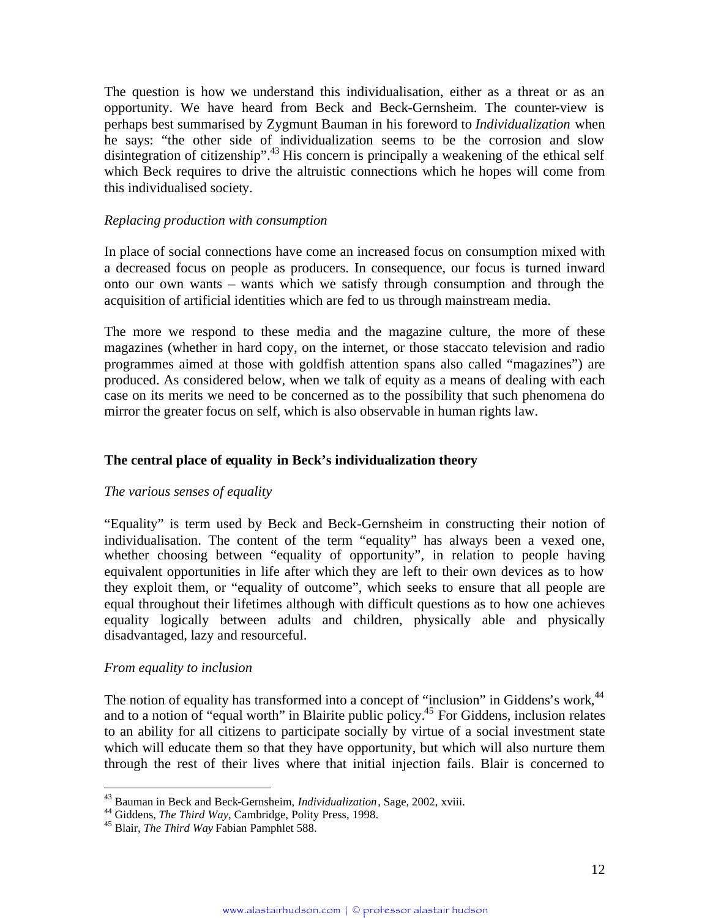The question is how we understand this individualisation, either as a threat or as an opportunity. We have heard from Beck and Beck-Gernsheim. The counter-view is perhaps best summarised by Zygmunt Bauman in his foreword to *Individualization* when he says: "the other side of individualization seems to be the corrosion and slow disintegration of citizenship".<sup>[43](#page-11-0)</sup> His concern is principally a weakening of the ethical self which Beck requires to drive the altruistic connections which he hopes will come from this individualised society.

### *Replacing production with consumption*

In place of social connections have come an increased focus on consumption mixed with a decreased focus on people as producers. In consequence, our focus is turned inward onto our own wants – wants which we satisfy through consumption and through the acquisition of artificial identities which are fed to us through mainstream media.

The more we respond to these media and the magazine culture, the more of these magazines (whether in hard copy, on the internet, or those staccato television and radio programmes aimed at those with goldfish attention spans also called "magazines") are produced. As considered below, when we talk of equity as a means of dealing with each case on its merits we need to be concerned as to the possibility that such phenomena do mirror the greater focus on self, which is also observable in human rights law.

# **The central place of equality in Beck's individualization theory**

#### *The various senses of equality*

"Equality" is term used by Beck and Beck-Gernsheim in constructing their notion of individualisation. The content of the term "equality" has always been a vexed one, whether choosing between "equality of opportunity", in relation to people having equivalent opportunities in life after which they are left to their own devices as to how they exploit them, or "equality of outcome", which seeks to ensure that all people are equal throughout their lifetimes although with difficult questions as to how one achieves equality logically between adults and children, physically able and physically disadvantaged, lazy and resourceful.

#### *From equality to inclusion*

The notion of equality has transformed into a concept of "inclusion" in Giddens's work,<sup>[44](#page-11-1)</sup> and to a notion of "equal worth" in Blairite public policy.<sup>[45](#page-11-2)</sup> For Giddens, inclusion relates to an ability for all citizens to participate socially by virtue of a social investment state which will educate them so that they have opportunity, but which will also nurture them through the rest of their lives where that initial injection fails. Blair is concerned to

<span id="page-11-0"></span><sup>43</sup> Bauman in Beck and Beck-Gernsheim, *Individualization*, Sage, 2002, xviii.

<span id="page-11-1"></span><sup>44</sup> Giddens, *The Third Way*, Cambridge, Polity Press, 1998.

<span id="page-11-2"></span><sup>45</sup> Blair, *The Third Way* Fabian Pamphlet 588.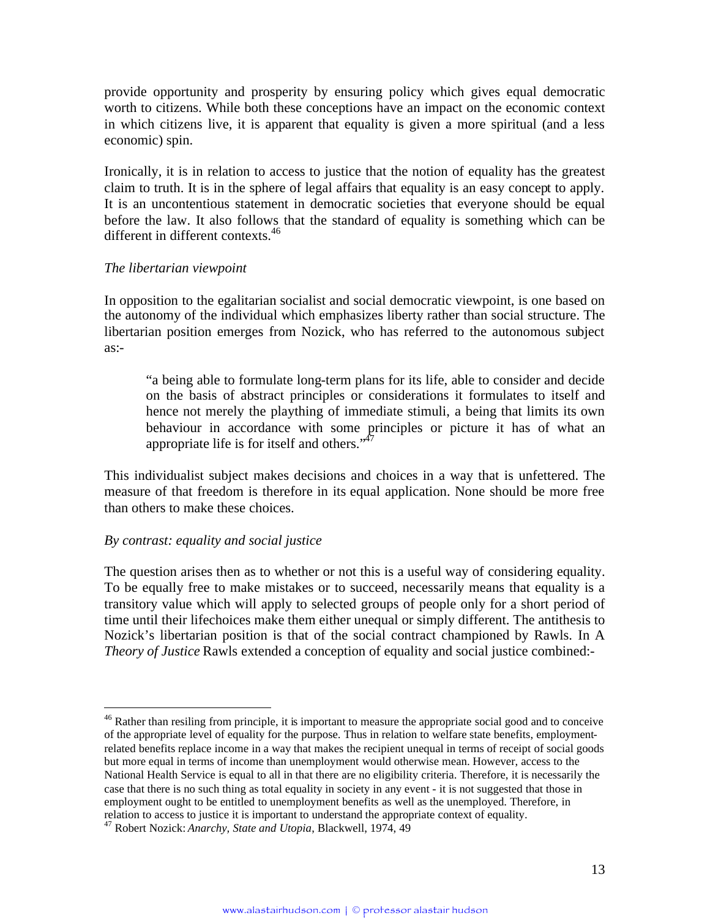provide opportunity and prosperity by ensuring policy which gives equal democratic worth to citizens. While both these conceptions have an impact on the economic context in which citizens live, it is apparent that equality is given a more spiritual (and a less economic) spin.

Ironically, it is in relation to access to justice that the notion of equality has the greatest claim to truth. It is in the sphere of legal affairs that equality is an easy concept to apply. It is an uncontentious statement in democratic societies that everyone should be equal before the law. It also follows that the standard of equality is something which can be different in different contexts.<sup>[46](#page-12-0)</sup>

### *The libertarian viewpoint*

In opposition to the egalitarian socialist and social democratic viewpoint, is one based on the autonomy of the individual which emphasizes liberty rather than social structure. The libertarian position emerges from Nozick, who has referred to the autonomous subject as:-

"a being able to formulate long-term plans for its life, able to consider and decide on the basis of abstract principles or considerations it formulates to itself and hence not merely the plaything of immediate stimuli, a being that limits its own behaviour in accordance with some principles or picture it has of what an appropriate life is for itself and others." $47$ 

This individualist subject makes decisions and choices in a way that is unfettered. The measure of that freedom is therefore in its equal application. None should be more free than others to make these choices.

# *By contrast: equality and social justice*

The question arises then as to whether or not this is a useful way of considering equality. To be equally free to make mistakes or to succeed, necessarily means that equality is a transitory value which will apply to selected groups of people only for a short period of time until their lifechoices make them either unequal or simply different. The antithesis to Nozick's libertarian position is that of the social contract championed by Rawls. In A *Theory of Justice* Rawls extended a conception of equality and social justice combined:-

<span id="page-12-0"></span><sup>&</sup>lt;sup>46</sup> Rather than resiling from principle, it is important to measure the appropriate social good and to conceive of the appropriate level of equality for the purpose. Thus in relation to welfare state benefits, employmentrelated benefits replace income in a way that makes the recipient unequal in terms of receipt of social goods but more equal in terms of income than unemployment would otherwise mean. However, access to the National Health Service is equal to all in that there are no eligibility criteria. Therefore, it is necessarily the case that there is no such thing as total equality in society in any event - it is not suggested that those in employment ought to be entitled to unemployment benefits as well as the unemployed. Therefore, in relation to access to justice it is important to understand the appropriate context of equality.

<span id="page-12-1"></span><sup>47</sup> Robert Nozick: *Anarchy, State and Utopia*, Blackwell, 1974, 49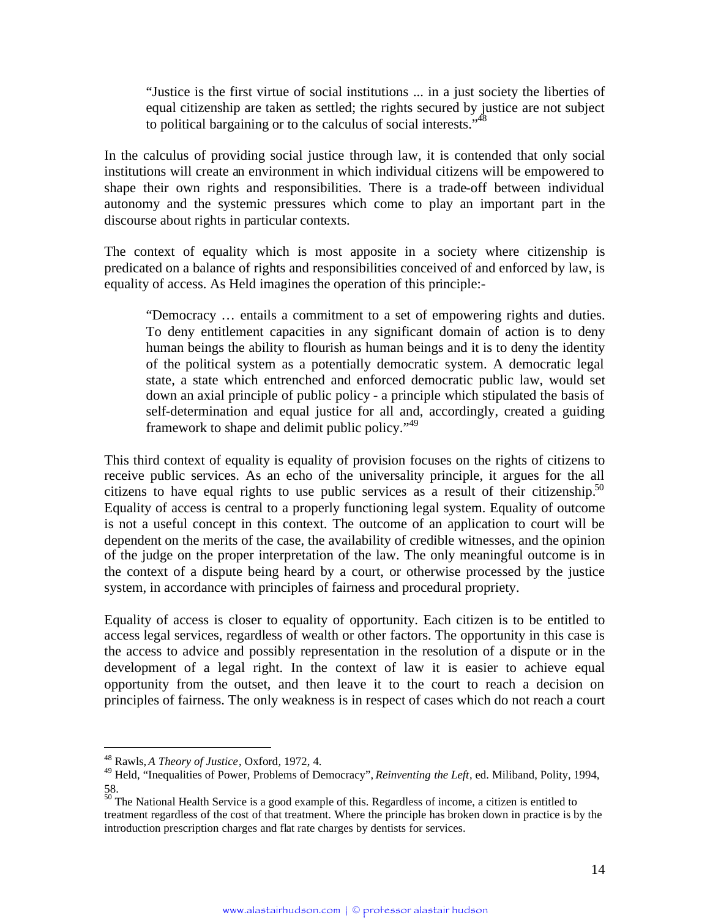"Justice is the first virtue of social institutions ... in a just society the liberties of equal citizenship are taken as settled; the rights secured by justice are not subject to political bargaining or to the calculus of social interests.<sup>5,[48](#page-13-0)</sup>

In the calculus of providing social justice through law, it is contended that only social institutions will create an environment in which individual citizens will be empowered to shape their own rights and responsibilities. There is a trade-off between individual autonomy and the systemic pressures which come to play an important part in the discourse about rights in particular contexts.

The context of equality which is most apposite in a society where citizenship is predicated on a balance of rights and responsibilities conceived of and enforced by law, is equality of access. As Held imagines the operation of this principle:-

"Democracy … entails a commitment to a set of empowering rights and duties. To deny entitlement capacities in any significant domain of action is to deny human beings the ability to flourish as human beings and it is to deny the identity of the political system as a potentially democratic system. A democratic legal state, a state which entrenched and enforced democratic public law, would set down an axial principle of public policy - a principle which stipulated the basis of self-determination and equal justice for all and, accordingly, created a guiding framework to shape and delimit public policy."<sup>[49](#page-13-1)</sup>

This third context of equality is equality of provision focuses on the rights of citizens to receive public services. As an echo of the universality principle, it argues for the all citizens to have equal rights to use public services as a result of their citizenship.<sup>[50](#page-13-2)</sup> Equality of access is central to a properly functioning legal system. Equality of outcome is not a useful concept in this context. The outcome of an application to court will be dependent on the merits of the case, the availability of credible witnesses, and the opinion of the judge on the proper interpretation of the law. The only meaningful outcome is in the context of a dispute being heard by a court, or otherwise processed by the justice system, in accordance with principles of fairness and procedural propriety.

Equality of access is closer to equality of opportunity. Each citizen is to be entitled to access legal services, regardless of wealth or other factors. The opportunity in this case is the access to advice and possibly representation in the resolution of a dispute or in the development of a legal right. In the context of law it is easier to achieve equal opportunity from the outset, and then leave it to the court to reach a decision on principles of fairness. The only weakness is in respect of cases which do not reach a court

<span id="page-13-1"></span><span id="page-13-0"></span><sup>48</sup> Rawls, *A Theory of Justice*, Oxford*,* 1972, 4.

<sup>49</sup> Held, "Inequalities of Power, Problems of Democracy", *Reinventing the Left*, ed. Miliband, Polity, 1994, 58.

<span id="page-13-2"></span> $50$  The National Health Service is a good example of this. Regardless of income, a citizen is entitled to treatment regardless of the cost of that treatment. Where the principle has broken down in practice is by the introduction prescription charges and flat rate charges by dentists for services.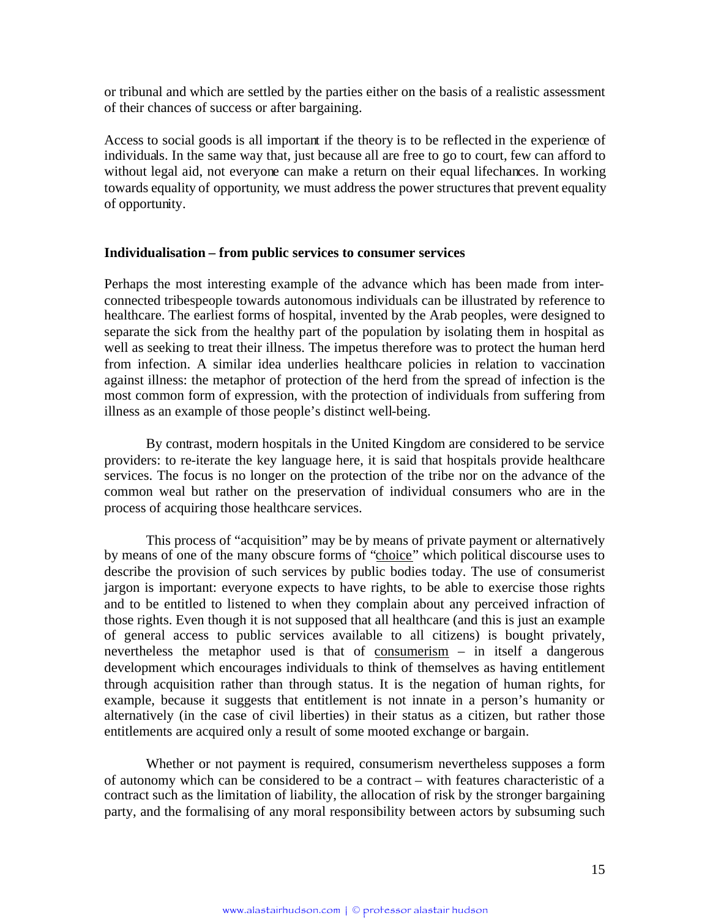or tribunal and which are settled by the parties either on the basis of a realistic assessment of their chances of success or after bargaining.

Access to social goods is all important if the theory is to be reflected in the experience of individuals. In the same way that, just because all are free to go to court, few can afford to without legal aid, not everyone can make a return on their equal lifechances. In working towards equality of opportunity, we must address the power structures that prevent equality of opportunity.

#### **Individualisation – from public services to consumer services**

Perhaps the most interesting example of the advance which has been made from interconnected tribespeople towards autonomous individuals can be illustrated by reference to healthcare. The earliest forms of hospital, invented by the Arab peoples, were designed to separate the sick from the healthy part of the population by isolating them in hospital as well as seeking to treat their illness. The impetus therefore was to protect the human herd from infection. A similar idea underlies healthcare policies in relation to vaccination against illness: the metaphor of protection of the herd from the spread of infection is the most common form of expression, with the protection of individuals from suffering from illness as an example of those people's distinct well-being.

By contrast, modern hospitals in the United Kingdom are considered to be service providers: to re-iterate the key language here, it is said that hospitals provide healthcare services. The focus is no longer on the protection of the tribe nor on the advance of the common weal but rather on the preservation of individual consumers who are in the process of acquiring those healthcare services.

This process of "acquisition" may be by means of private payment or alternatively by means of one of the many obscure forms of "choice" which political discourse uses to describe the provision of such services by public bodies today. The use of consumerist jargon is important: everyone expects to have rights, to be able to exercise those rights and to be entitled to listened to when they complain about any perceived infraction of those rights. Even though it is not supposed that all healthcare (and this is just an example of general access to public services available to all citizens) is bought privately, nevertheless the metaphor used is that of consumerism – in itself a dangerous development which encourages individuals to think of themselves as having entitlement through acquisition rather than through status. It is the negation of human rights, for example, because it suggests that entitlement is not innate in a person's humanity or alternatively (in the case of civil liberties) in their status as a citizen, but rather those entitlements are acquired only a result of some mooted exchange or bargain.

Whether or not payment is required, consumerism nevertheless supposes a form of autonomy which can be considered to be a contract – with features characteristic of a contract such as the limitation of liability, the allocation of risk by the stronger bargaining party, and the formalising of any moral responsibility between actors by subsuming such